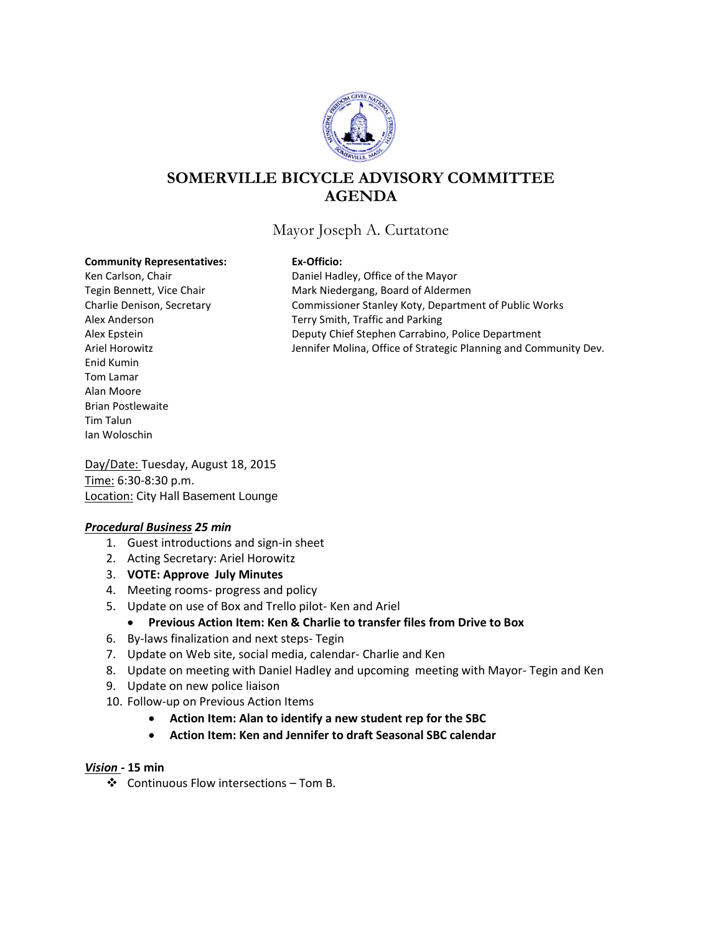

# **SOMERVILLE BICYCLE ADVISORY COMMITTEE AGENDA**

# Mayor Joseph A. Curtatone

#### **Community Representatives: Ex-Officio:**

Enid Kumin Tom Lamar Alan Moore Brian Postlewaite Tim Talun Ian Woloschin

Ken Carlson, Chair **Nation** Daniel Hadley, Office of the Mayor Tegin Bennett, Vice Chair **Mark Niedergang, Board of Aldermen** Charlie Denison, Secretary Commissioner Stanley Koty, Department of Public Works Alex Anderson Terry Smith, Traffic and Parking Alex Epstein **Deputy Chief Stephen Carrabino, Police Department** Ariel Horowitz **Jennifer Molina, Office of Strategic Planning and Community Dev.** 

Day/Date: Tuesday, August 18, 2015 Time: 6:30-8:30 p.m. **Location: City Hall Basement Lounge** 

#### *Procedural Business 25 min*

- 1. Guest introductions and sign-in sheet
- 2. Acting Secretary: Ariel Horowitz
- 3. **VOTE: Approve July Minutes**
- 4. Meeting rooms- progress and policy
- 5. Update on use of Box and Trello pilot- Ken and Ariel

#### **Previous Action Item: Ken & Charlie to transfer files from Drive to Box**

- 6. By-laws finalization and next steps- Tegin
- 7. Update on Web site, social media, calendar- Charlie and Ken
- 8. Update on meeting with Daniel Hadley and upcoming meeting with Mayor- Tegin and Ken
- 9. Update on new police liaison
- 10. Follow-up on Previous Action Items
	- **Action Item: Alan to identify a new student rep for the SBC**
	- **Action Item: Ken and Jennifer to draft Seasonal SBC calendar**

#### *Vision -* **15 min**

Continuous Flow intersections – Tom B.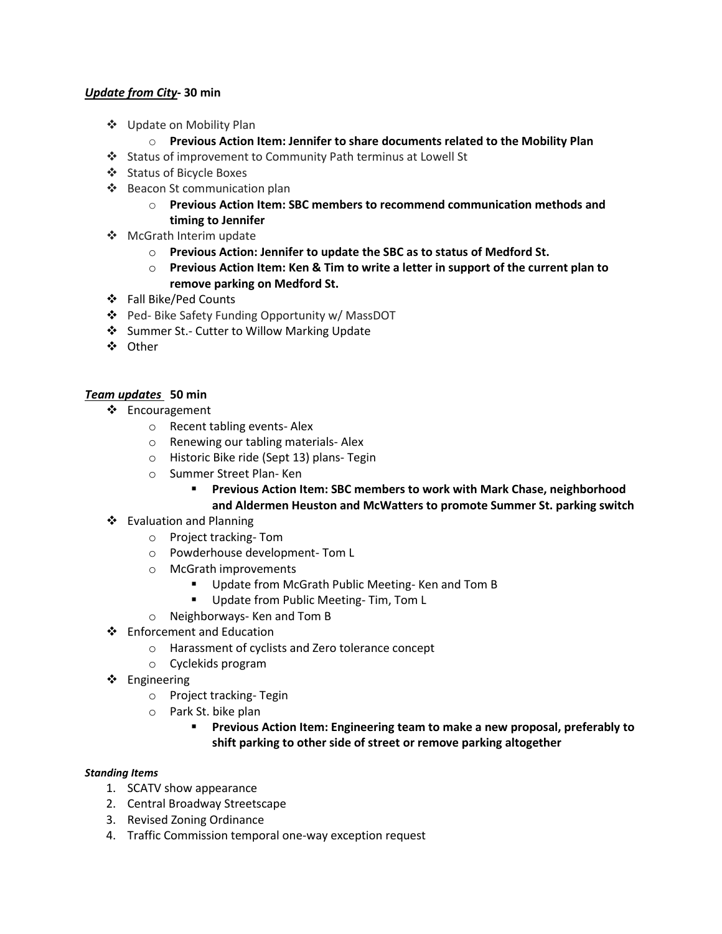### *Update from City***- 30 min**

- Update on Mobility Plan
	- o **Previous Action Item: Jennifer to share documents related to the Mobility Plan**
- Status of improvement to Community Path terminus at Lowell St
- Status of Bicycle Boxes
- ❖ Beacon St communication plan
	- o **Previous Action Item: SBC members to recommend communication methods and timing to Jennifer**
- McGrath Interim update
	- o **Previous Action: Jennifer to update the SBC as to status of Medford St.**
	- o **Previous Action Item: Ken & Tim to write a letter in support of the current plan to remove parking on Medford St.**
- Fall Bike/Ped Counts
- Ped- Bike Safety Funding Opportunity w/ MassDOT
- Summer St.- Cutter to Willow Marking Update
- Other

## *Team updates* **50 min**

- ❖ Encouragement
	- o Recent tabling events- Alex
	- o Renewing our tabling materials- Alex
	- o Historic Bike ride (Sept 13) plans- Tegin
	- o Summer Street Plan- Ken

 **Previous Action Item: SBC members to work with Mark Chase, neighborhood and Aldermen Heuston and McWatters to promote Summer St. parking switch**

- ❖ Evaluation and Planning
	- o Project tracking- Tom
	- o Powderhouse development- Tom L
	- o McGrath improvements
		- Update from McGrath Public Meeting- Ken and Tom B
		- Update from Public Meeting- Tim, Tom L
	- o Neighborways- Ken and Tom B
- Enforcement and Education
	- o Harassment of cyclists and Zero tolerance concept
	- o Cyclekids program
- Engineering
	- o Project tracking- Tegin
	- o Park St. bike plan
		- **Previous Action Item: Engineering team to make a new proposal, preferably to shift parking to other side of street or remove parking altogether**

#### *Standing Items*

- 1. SCATV show appearance
- 2. Central Broadway Streetscape
- 3. Revised Zoning Ordinance
- 4. Traffic Commission temporal one-way exception request